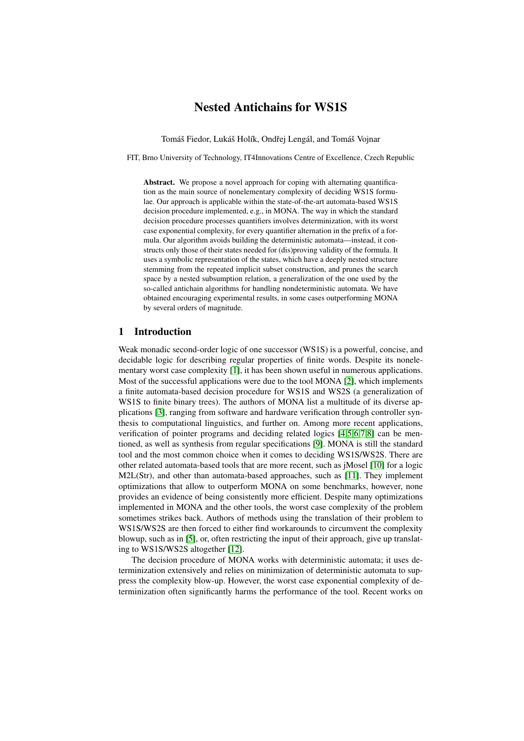## Nested Antichains for WS1S

Tomáš Fiedor, Lukáš Holík, Ondřej Lengál, and Tomáš Vojnar

FIT, Brno University of Technology, IT4Innovations Centre of Excellence, Czech Republic

Abstract. We propose a novel approach for coping with alternating quantification as the main source of nonelementary complexity of deciding WS1S formulae. Our approach is applicable within the state-of-the-art automata-based WS1S decision procedure implemented, e.g., in MONA. The way in which the standard decision procedure processes quantifiers involves determinization, with its worst case exponential complexity, for every quantifier alternation in the prefix of a formula. Our algorithm avoids building the deterministic automata—instead, it constructs only those of their states needed for (dis)proving validity of the formula. It uses a symbolic representation of the states, which have a deeply nested structure stemming from the repeated implicit subset construction, and prunes the search space by a nested subsumption relation, a generalization of the one used by the so-called antichain algorithms for handling nondeterministic automata. We have obtained encouraging experimental results, in some cases outperforming MONA by several orders of magnitude.

## 1 Introduction

Weak monadic second-order logic of one successor (WS1S) is a powerful, concise, and decidable logic for describing regular properties of finite words. Despite its nonelementary worst case complexity [\[1\]](#page-14-0), it has been shown useful in numerous applications. Most of the successful applications were due to the tool MONA [\[2\]](#page-14-1), which implements a finite automata-based decision procedure for WS1S and WS2S (a generalization of WS1S to finite binary trees). The authors of MONA list a multitude of its diverse applications [\[3\]](#page-14-2), ranging from software and hardware verification through controller synthesis to computational linguistics, and further on. Among more recent applications, verification of pointer programs and deciding related logics [\[4](#page-14-3)[,5](#page-14-4)[,6](#page-14-5)[,7,](#page-14-6)[8\]](#page-14-7) can be mentioned, as well as synthesis from regular specifications [\[9\]](#page-14-8). MONA is still the standard tool and the most common choice when it comes to deciding WS1S/WS2S. There are other related automata-based tools that are more recent, such as jMosel [\[10\]](#page-14-9) for a logic M2L(Str), and other than automata-based approaches, such as [\[11\]](#page-14-10). They implement optimizations that allow to outperform MONA on some benchmarks, however, none provides an evidence of being consistently more efficient. Despite many optimizations implemented in MONA and the other tools, the worst case complexity of the problem sometimes strikes back. Authors of methods using the translation of their problem to WS1S/WS2S are then forced to either find workarounds to circumvent the complexity blowup, such as in [\[5\]](#page-14-4), or, often restricting the input of their approach, give up translating to WS1S/WS2S altogether [\[12\]](#page-14-11).

The decision procedure of MONA works with deterministic automata; it uses determinization extensively and relies on minimization of deterministic automata to suppress the complexity blow-up. However, the worst case exponential complexity of determinization often significantly harms the performance of the tool. Recent works on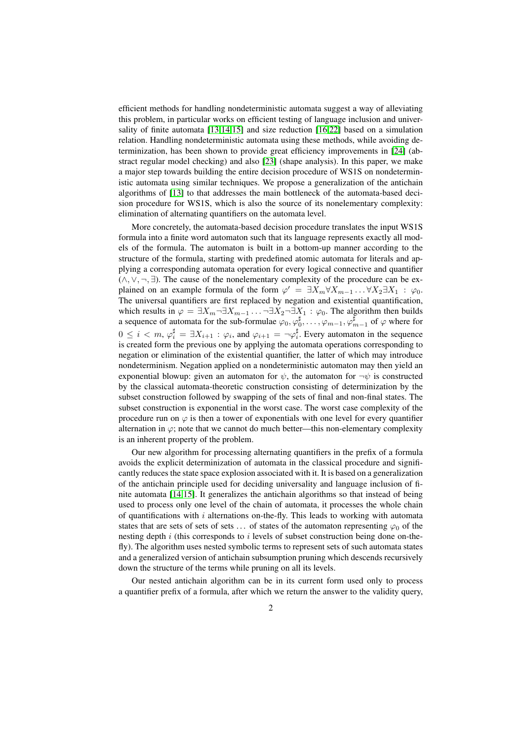efficient methods for handling nondeterministic automata suggest a way of alleviating this problem, in particular works on efficient testing of language inclusion and universality of finite automata [\[13](#page-14-12)[,14](#page-14-13)[,15\]](#page-14-14) and size reduction [\[16](#page-14-15)[,22\]](#page-14-16) based on a simulation relation. Handling nondeterministic automata using these methods, while avoiding determinization, has been shown to provide great efficiency improvements in [\[24\]](#page-14-17) (abstract regular model checking) and also [\[23\]](#page-14-18) (shape analysis). In this paper, we make a major step towards building the entire decision procedure of WS1S on nondeterministic automata using similar techniques. We propose a generalization of the antichain algorithms of [\[13\]](#page-14-12) to that addresses the main bottleneck of the automata-based decision procedure for WS1S, which is also the source of its nonelementary complexity: elimination of alternating quantifiers on the automata level.

More concretely, the automata-based decision procedure translates the input WS1S formula into a finite word automaton such that its language represents exactly all models of the formula. The automaton is built in a bottom-up manner according to the structure of the formula, starting with predefined atomic automata for literals and applying a corresponding automata operation for every logical connective and quantifier (∧, ∨, ¬, ∃). The cause of the nonelementary complexity of the procedure can be explained on an example formula of the form  $\varphi' = \exists X_m \forall X_{m-1} \dots \forall X_2 \exists X_1 : \varphi_0$ . The universal quantifiers are first replaced by negation and existential quantification, which results in  $\varphi = \exists X_m \neg \exists X_{m-1} \dots \neg \exists X_2 \neg \exists X_1 : \varphi_0$ . The algorithm then builds a sequence of automata for the sub-formulae  $\varphi_0, \varphi_0^{\sharp}, \ldots, \varphi_{m-1}, \varphi_{m-1}^{\sharp}$  of  $\varphi$  where for  $0 \leq i < m, \varphi_i^{\sharp} = \exists X_{i+1} : \varphi_i$ , and  $\varphi_{i+1} = \neg \varphi_i^{\sharp}$ . Every automaton in the sequence is created form the previous one by applying the automata operations corresponding to negation or elimination of the existential quantifier, the latter of which may introduce nondeterminism. Negation applied on a nondeterministic automaton may then yield an exponential blowup: given an automaton for  $\psi$ , the automaton for  $\neg \psi$  is constructed by the classical automata-theoretic construction consisting of determinization by the subset construction followed by swapping of the sets of final and non-final states. The subset construction is exponential in the worst case. The worst case complexity of the procedure run on  $\varphi$  is then a tower of exponentials with one level for every quantifier alternation in  $\varphi$ ; note that we cannot do much better—this non-elementary complexity is an inherent property of the problem.

Our new algorithm for processing alternating quantifiers in the prefix of a formula avoids the explicit determinization of automata in the classical procedure and significantly reduces the state space explosion associated with it. It is based on a generalization of the antichain principle used for deciding universality and language inclusion of finite automata [\[14](#page-14-13)[,15\]](#page-14-14). It generalizes the antichain algorithms so that instead of being used to process only one level of the chain of automata, it processes the whole chain of quantifications with  $i$  alternations on-the-fly. This leads to working with automata states that are sets of sets of sets ... of states of the automaton representing  $\varphi_0$  of the nesting depth  $i$  (this corresponds to  $i$  levels of subset construction being done on-thefly). The algorithm uses nested symbolic terms to represent sets of such automata states and a generalized version of antichain subsumption pruning which descends recursively down the structure of the terms while pruning on all its levels.

Our nested antichain algorithm can be in its current form used only to process a quantifier prefix of a formula, after which we return the answer to the validity query,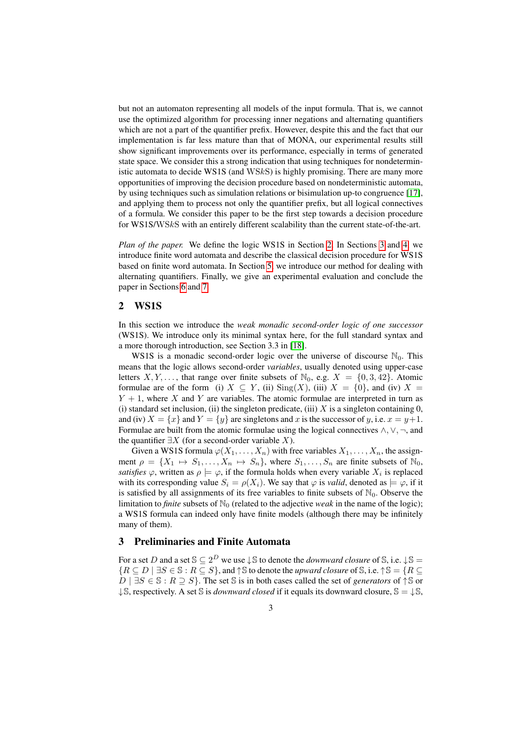but not an automaton representing all models of the input formula. That is, we cannot use the optimized algorithm for processing inner negations and alternating quantifiers which are not a part of the quantifier prefix. However, despite this and the fact that our implementation is far less mature than that of MONA, our experimental results still show significant improvements over its performance, especially in terms of generated state space. We consider this a strong indication that using techniques for nondeterministic automata to decide WS1S (and WSkS) is highly promising. There are many more opportunities of improving the decision procedure based on nondeterministic automata, by using techniques such as simulation relations or bisimulation up-to congruence [\[17\]](#page-14-19), and applying them to process not only the quantifier prefix, but all logical connectives of a formula. We consider this paper to be the first step towards a decision procedure for WS1S/WSkS with an entirely different scalability than the current state-of-the-art.

*Plan of the paper.* We define the logic WS1S in Section [2.](#page-2-0) In Sections [3](#page-2-1) and [4,](#page-3-0) we introduce finite word automata and describe the classical decision procedure for WS1S based on finite word automata. In Section [5,](#page-5-0) we introduce our method for dealing with alternating quantifiers. Finally, we give an experimental evaluation and conclude the paper in Sections [6](#page-12-0) and [7.](#page-13-0)

## <span id="page-2-0"></span>2 WS1S

In this section we introduce the *weak monadic second-order logic of one successor* (WS1S). We introduce only its minimal syntax here, for the full standard syntax and a more thorough introduction, see Section 3.3 in [\[18\]](#page-14-20).

WS1S is a monadic second-order logic over the universe of discourse  $\mathbb{N}_0$ . This means that the logic allows second-order *variables*, usually denoted using upper-case letters  $X, Y, \ldots$ , that range over finite subsets of  $\mathbb{N}_0$ , e.g.  $X = \{0, 3, 42\}$ . Atomic formulae are of the form (i)  $X \subseteq Y$ , (ii)  $\text{Sing}(X)$ , (iii)  $X = \{0\}$ , and (iv)  $X =$  $Y + 1$ , where X and Y are variables. The atomic formulae are interpreted in turn as (i) standard set inclusion, (ii) the singleton predicate, (iii)  $X$  is a singleton containing 0, and (iv)  $X = \{x\}$  and  $Y = \{y\}$  are singletons and x is the successor of y, i.e.  $x = y+1$ . Formulae are built from the atomic formulae using the logical connectives  $\wedge, \vee, \neg$ , and the quantifier  $\exists X$  (for a second-order variable X).

Given a WS1S formula  $\varphi(X_1, \ldots, X_n)$  with free variables  $X_1, \ldots, X_n$ , the assignment  $\rho = \{X_1 \mapsto S_1, \ldots, X_n \mapsto S_n\}$ , where  $S_1, \ldots, S_n$  are finite subsets of  $\mathbb{N}_0$ , *satisfies*  $\varphi$ , written as  $\rho \models \varphi$ , if the formula holds when every variable  $X_i$  is replaced with its corresponding value  $S_i = \rho(X_i)$ . We say that  $\varphi$  is *valid*, denoted as  $\models \varphi$ , if it is satisfied by all assignments of its free variables to finite subsets of  $\mathbb{N}_0$ . Observe the limitation to *finite* subsets of  $\mathbb{N}_0$  (related to the adjective *weak* in the name of the logic); a WS1S formula can indeed only have finite models (although there may be infinitely many of them).

## <span id="page-2-1"></span>3 Preliminaries and Finite Automata

For a set D and a set  $\mathbb{S} \subseteq 2^D$  we use  $\downarrow \mathbb{S}$  to denote the *downward closure* of  $\mathbb{S}$ , i.e.  $\downarrow \mathbb{S} =$  ${R \subseteq D \mid \exists S \in \mathbb{S} : R \subseteq S}$ , and  $\uparrow \mathbb{S}$  to denote the *upward closure* of  $\mathbb{S}$ , i.e.  $\uparrow \mathbb{S} = {R \subseteq R}$  $D \mid \exists S \in \mathbb{S} : R \supseteq S$ . The set  $\mathbb{S}$  is in both cases called the set of *generators* of  $\uparrow \mathbb{S}$  or ↓S, respectively. A set S is *downward closed* if it equals its downward closure, S = ↓S,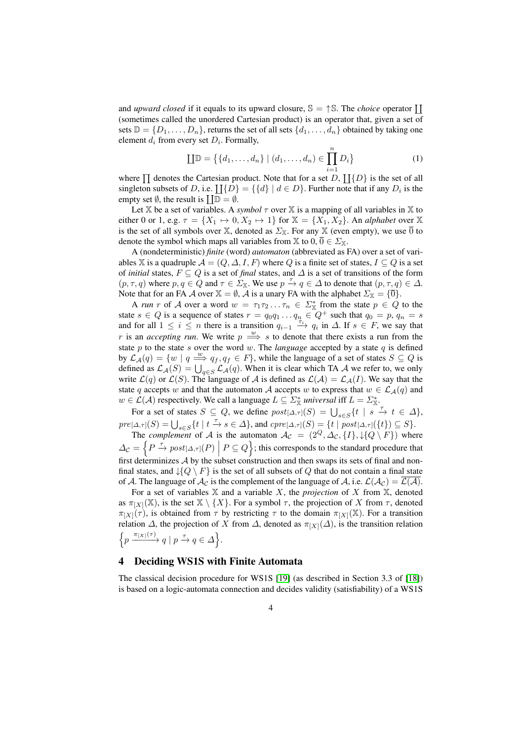and *upward closed* if it equals to its upward closure,  $\mathbb{S} = \uparrow \mathbb{S}$ . The *choice* operator  $\coprod$ (sometimes called the unordered Cartesian product) is an operator that, given a set of sets  $\mathbb{D} = \{D_1, \ldots, D_n\}$ , returns the set of all sets  $\{d_1, \ldots, d_n\}$  obtained by taking one element  $d_i$  from every set  $D_i$ . Formally,

$$
\coprod \mathbb{D} = \{ \{d_1, \dots, d_n\} \mid (d_1, \dots, d_n) \in \prod_{i=1}^n D_i \}
$$
 (1)

where  $\prod$  denotes the Cartesian product. Note that for a set D,  $\prod\{D\}$  is the set of all singleton subsets of D, i.e.  $\prod\{D\} = \{\{d\} \mid d \in D\}$ . Further note that if any  $D_i$  is the empty set  $\emptyset$ , the result is  $\prod \overline{\mathbb{D}} = \emptyset$ .

Let  $X$  be a set of variables. A *symbol*  $\tau$  over X is a mapping of all variables in X to either 0 or 1, e.g.  $\tau = \{X_1 \mapsto 0, X_2 \mapsto 1\}$  for  $\mathbb{X} = \{X_1, X_2\}$ . An *alphabet* over  $\mathbb{X}$ is the set of all symbols over X, denoted as  $\Sigma_{\mathbb{X}}$ . For any X (even empty), we use  $\overline{0}$  to denote the symbol which maps all variables from  $\mathbb{X}$  to  $0, \overline{0} \in \Sigma_{\mathbb{X}}$ .

A (nondeterministic) *finite* (word) *automaton* (abbreviated as FA) over a set of variables X is a quadruple  $A = (Q, \Delta, I, F)$  where Q is a finite set of states,  $I \subseteq Q$  is a set of *initial* states,  $F \subseteq Q$  is a set of *final* states, and  $\Delta$  is a set of transitions of the form  $(p, \tau, q)$  where  $p, q \in Q$  and  $\tau \in \Sigma_{\mathbb{X}}$ . We use  $p \stackrel{\tau}{\rightarrow} q \in \Delta$  to denote that  $(p, \tau, q) \in \Delta$ . Note that for an FA A over  $\mathbb{X} = \emptyset$ , A is a unary FA with the alphabet  $\Sigma_{\mathbb{X}} = {\overline{0}}$ .

A *run* r of A over a word  $w = \tau_1 \tau_2 \dots \tau_n \in \Sigma_{\mathbb{X}}^*$  from the state  $p \in Q$  to the state  $s \in Q$  is a sequence of states  $r = q_0q_1 \dots q_n \in Q^+$  such that  $q_0 = p$ ,  $q_n = s$ and for all  $1 \leq i \leq n$  there is a transition  $q_{i-1} \xrightarrow{r_i} q_i$  in  $\Delta$ . If  $s \in F$ , we say that r is an *accepting run*. We write  $p \stackrel{w}{\implies} s$  to denote that there exists a run from the state p to the state s over the word w. The *language* accepted by a state  $q$  is defined by  $\mathcal{L}_{\mathcal{A}}(q) = \{w \mid q \stackrel{w}{\Longrightarrow} q_f, q_f \in F\}$ , while the language of a set of states  $S \subseteq Q$  is defined as  $\mathcal{L}_{\mathcal{A}}(S) = \bigcup_{q \in S} \mathcal{L}_{\mathcal{A}}(q)$ . When it is clear which TA  $\mathcal{A}$  we refer to, we only write  $\mathcal{L}(q)$  or  $\mathcal{L}(S)$ . The language of A is defined as  $\mathcal{L}(\mathcal{A}) = \mathcal{L}_{\mathcal{A}}(I)$ . We say that the state q accepts w and that the automaton A accepts w to express that  $w \in \mathcal{L}_{\mathcal{A}}(q)$  and  $w \in \mathcal{L}(\mathcal{A})$  respectively. We call a language  $L \subseteq \Sigma_{\mathbb{X}}^*$  *universal* iff  $L = \Sigma_{\mathbb{X}}^*$ .

For a set of states  $S \subseteq Q$ , we define  $post[\Delta, \tau](S) = \bigcup_{s \in S} \{t \mid s \stackrel{\tau}{\to} t \in \Delta\}$ ,  $pre[\Delta,\tau](S) = \bigcup_{s \in S} \{t \mid t \xrightarrow{\tau} s \in \Delta\}$ , and  $cpre[\Delta,\tau](S) = \{t \mid post[\Delta,\tau](\{t\}) \subseteq S\}.$ 

The *complement* of A is the automaton  $A_{\mathcal{C}} = (2^Q, \Delta_{\mathcal{C}}, \{I\}, \{Q \setminus F\})$  where  $\Delta_{\mathcal{C}} = \left\{P \stackrel{\tau}{\to} post[\Delta,\tau](P) \Bigm| P \subseteq Q\right\};$  this corresponds to the standard procedure that  first determinizes A by the subset construction and then swaps its sets of final and nonfinal states, and  $\mathcal{L}{Q \setminus F}$  is the set of all subsets of Q that do not contain a final state of A. The language of  $\mathcal{A}_{\mathcal{C}}$  is the complement of the language of A, i.e.  $\mathcal{L}(\mathcal{A}_{\mathcal{C}}) = \overline{\mathcal{L}(\mathcal{A})}$ .

For a set of variables  $X$  and a variable  $X$ , the *projection* of  $X$  from  $X$ , denoted as  $\pi_{[X]}(\mathbb{X})$ , is the set  $\mathbb{X} \setminus \{X\}$ . For a symbol  $\tau$ , the projection of X from  $\tau$ , denoted  $\pi_{[X]}(\tau)$ , is obtained from  $\tau$  by restricting  $\tau$  to the domain  $\pi_{[X]}(\mathbb{X})$ . For a transition relation  $\Delta$ , the projection of X from  $\Delta$ , denoted as  $\pi_{[X]}(\Delta)$ , is the transition relation  $\left\{ p \xrightarrow{\pi_{[X]}(\tau)} q \mid p \xrightarrow{\tau} q \in \Delta \right\}.$ 

### <span id="page-3-0"></span>4 Deciding WS1S with Finite Automata

The classical decision procedure for WS1S [\[19\]](#page-14-21) (as described in Section 3.3 of [\[18\]](#page-14-20)) is based on a logic-automata connection and decides validity (satisfiability) of a WS1S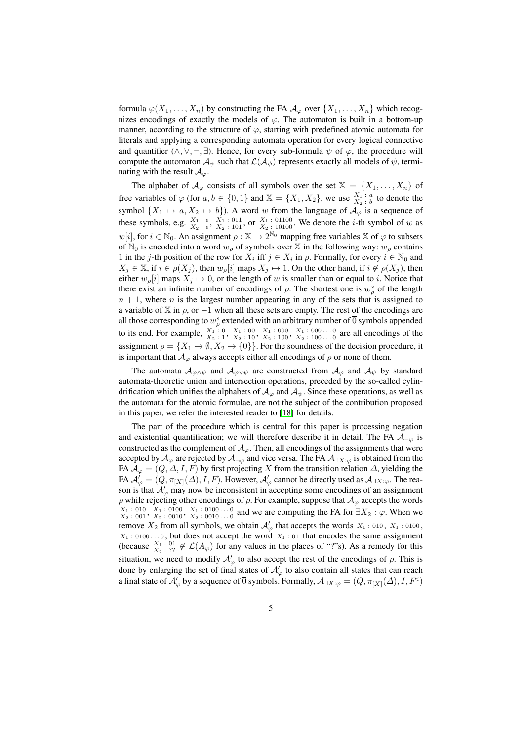formula  $\varphi(X_1, \ldots, X_n)$  by constructing the FA  $\mathcal{A}_{\varphi}$  over  $\{X_1, \ldots, X_n\}$  which recognizes encodings of exactly the models of  $\varphi$ . The automaton is built in a bottom-up manner, according to the structure of  $\varphi$ , starting with predefined atomic automata for literals and applying a corresponding automata operation for every logical connective and quantifier ( $\wedge$ ,  $\vee$ ,  $\neg$ ,  $\exists$ ). Hence, for every sub-formula  $\psi$  of  $\varphi$ , the procedure will compute the automaton  $A_{\psi}$  such that  $\mathcal{L}(A_{\psi})$  represents exactly all models of  $\psi$ , terminating with the result  $A_{\varphi}$ .

The alphabet of  $\mathcal{A}_{\varphi}$  consists of all symbols over the set  $\mathbb{X} = \{X_1, \ldots, X_n\}$  of free variables of  $\varphi$  (for  $a, b \in \{0, 1\}$  and  $\mathbb{X} = \{X_1, X_2\}$ , we use  $\frac{X_1 : a}{X_2 : b}$  to denote the symbol  $\{X_1 \mapsto a, X_2 \mapsto b\}$ ). A word w from the language of  $\mathcal{A}_{\varphi}$  is a sequence of these symbols, e.g.  $X_1 : \epsilon X_1 : 011$ , or  $X_1 : 01100$ . We denote the *i*-th symbol of w as  $w[i]$ , for  $i \in \mathbb{N}_0$ . An assignment  $\rho : \mathbb{X} \to 2^{\mathbb{N}_0}$  mapping free variables  $\mathbb{X}$  of  $\varphi$  to subsets of  $\mathbb{N}_0$  is encoded into a word  $w_\rho$  of symbols over X in the following way:  $w_\rho$  contains 1 in the j-th position of the row for  $X_i$  iff  $j \in X_i$  in  $\rho$ . Formally, for every  $i \in \mathbb{N}_0$  and  $X_i \in \mathbb{X}$ , if  $i \in \rho(X_i)$ , then  $w_{\rho}[i]$  maps  $X_i \mapsto 1$ . On the other hand, if  $i \notin \rho(X_i)$ , then either  $w<sub>o</sub>[i]$  maps  $X_i \mapsto 0$ , or the length of w is smaller than or equal to i. Notice that there exist an infinite number of encodings of  $\rho$ . The shortest one is  $w^s_\rho$  of the length  $n + 1$ , where *n* is the largest number appearing in any of the sets that is assigned to a variable of  $X$  in  $\rho$ , or  $-1$  when all these sets are empty. The rest of the encodings are all those corresponding to  $w_\rho^s$  extended with an arbitrary number of  $\overline{0}$  symbols appended to its end. For example,  $\frac{X_1:0}{X_2:1}$ ,  $\frac{X_1:00}{X_2:10}$ ,  $\frac{X_1:000}{X_2:100}$ ,  $\frac{X_1:000...0}{X_2:100...0}$  are all encodings of the assignment  $\rho = \{X_1 \mapsto \emptyset, X_2 \mapsto \{0\}\}\.$  For the soundness of the decision procedure, it is important that  $\mathcal{A}_{\varphi}$  always accepts either all encodings of  $\rho$  or none of them.

The automata  $A_{\varphi \wedge \psi}$  and  $A_{\varphi \vee \psi}$  are constructed from  $A_{\varphi}$  and  $A_{\psi}$  by standard automata-theoretic union and intersection operations, preceded by the so-called cylindrification which unifies the alphabets of  $\mathcal{A}_{\varphi}$  and  $\mathcal{A}_{\psi}$ . Since these operations, as well as the automata for the atomic formulae, are not the subject of the contribution proposed in this paper, we refer the interested reader to [\[18\]](#page-14-20) for details.

The part of the procedure which is central for this paper is processing negation and existential quantification; we will therefore describe it in detail. The FA  $A_{\neg\varphi}$  is constructed as the complement of  $A_{\varphi}$ . Then, all encodings of the assignments that were accepted by  $\mathcal{A}_{\varphi}$  are rejected by  $\mathcal{A}_{\neg \varphi}$  and vice versa. The FA  $\mathcal{A}_{\exists X:\varphi}$  is obtained from the FA  $A_{\varphi} = (Q, \Delta, I, F)$  by first projecting X from the transition relation  $\Delta$ , yielding the FA  ${\cal A}'_\varphi=(Q,\pi_{[X]}(\varDelta),I,F).$  However,  ${\cal A}'_\varphi$  cannot be directly used as  ${\cal A}_{\exists X:\varphi}.$  The reason is that  $\mathcal{A}'_{\varphi}$  may now be inconsistent in accepting some encodings of an assignment ρ while rejecting other encodings of ρ. For example, suppose that  $A<sub>ϕ</sub>$  accepts the words  $X_1$ : 010  $X_1$ : 0100  $X_1$ : 0100...0 and we are computing the FA for  $\exists X_2 : \varphi$ . When we  $X_2$ : 0010  $X_2$ : 0010  $X_3$ : 0010...0 remove  $X_2$  from all symbols, we obtain  $\mathcal{A}'_{\varphi}$  that accepts the words  $X_1$ : 010,  $X_1$ : 0100,  $X_1$  : 0100 . . . 0, but does not accept the word  $X_1$  : 01 that encodes the same assignment (because  $X_1 : 01 \nless \mathcal{L}(A_{\varphi})$  for any values in the places of "?"s). As a remedy for this situation, we need to modify  $\mathcal{A}'_{\varphi}$  to also accept the rest of the encodings of  $\rho$ . This is done by enlarging the set of final states of  $\mathcal{A}'_{\varphi}$  to also contain all states that can reach a final state of  $\mathcal{A}'_\varphi$  by a sequence of  $\overline{0}$  symbols. Formally,  $\mathcal{A}_{\exists X:\varphi}=(Q,\pi_{[X]}(\varDelta),I,F^\sharp)$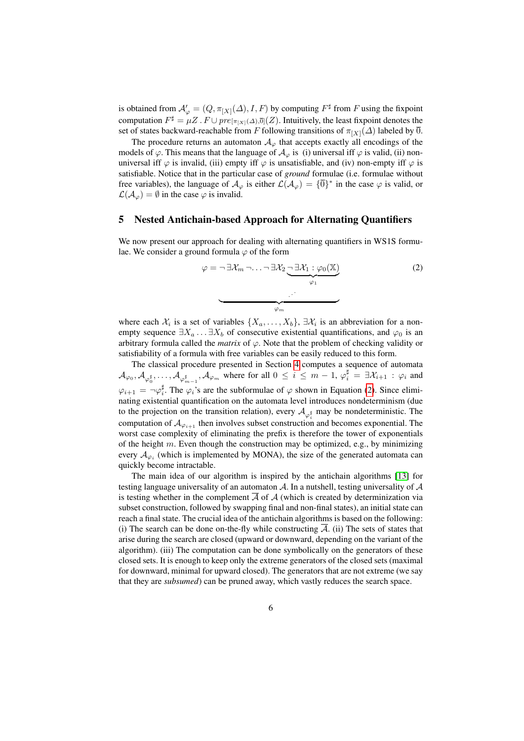is obtained from  $\mathcal{A}'_{\varphi} = (Q, \pi_{[X]}(\Delta), I, F)$  by computing  $F^{\sharp}$  from F using the fixpoint computation  $F^{\sharp} = \mu Z \cdot F \cup pre_{[\pi_{[X]}(\Delta), \overline{0}]}(Z)$ . Intuitively, the least fixpoint denotes the set of states backward-reachable from F following transitions of  $\pi_{[X]}(\Delta)$  labeled by  $\overline{0}$ .

The procedure returns an automaton  $A_{\varphi}$  that accepts exactly all encodings of the models of  $\varphi$ . This means that the language of  $\mathcal{A}_{\varphi}$  is (i) universal iff  $\varphi$  is valid, (ii) nonuniversal iff  $\varphi$  is invalid, (iii) empty iff  $\varphi$  is unsatisfiable, and (iv) non-empty iff  $\varphi$  is satisfiable. Notice that in the particular case of *ground* formulae (i.e. formulae without free variables), the language of  $\mathcal{A}_{\varphi}$  is either  $\mathcal{L}(\mathcal{A}_{\varphi}) = \{\overline{0}\}^*$  in the case  $\varphi$  is valid, or  $\mathcal{L}(\mathcal{A}_{\varphi}) = \emptyset$  in the case  $\varphi$  is invalid.

#### <span id="page-5-0"></span>5 Nested Antichain-based Approach for Alternating Quantifiers

We now present our approach for dealing with alternating quantifiers in WS1S formulae. We consider a ground formula  $\varphi$  of the form

<span id="page-5-1"></span>
$$
\varphi = \neg \exists \mathcal{X}_m \neg \dots \neg \exists \mathcal{X}_2 \underbrace{\neg \exists \mathcal{X}_1 : \varphi_0(\mathbb{X})}_{\varphi_1}
$$
\n(2)

where each  $\mathcal{X}_i$  is a set of variables  $\{X_a, \ldots, X_b\}$ ,  $\exists \mathcal{X}_i$  is an abbreviation for a nonempty sequence  $\exists X_a \dots \exists X_b$  of consecutive existential quantifications, and  $\varphi_0$  is an arbitrary formula called the *matrix* of  $\varphi$ . Note that the problem of checking validity or satisfiability of a formula with free variables can be easily reduced to this form.

The classical procedure presented in Section [4](#page-3-0) computes a sequence of automata  $\mathcal{A}_{\varphi_0}, \mathcal{A}_{\varphi_0^{\sharp}}, \ldots, \mathcal{A}_{\varphi_{m-1}^{\sharp}}, \mathcal{A}_{\varphi_m}$  where for all  $0 \leq i \leq m-1$ ,  $\varphi_i^{\sharp} = \exists \mathcal{X}_{i+1} : \varphi_i$  and  $\varphi_{i+1} = \neg \varphi_i^{\sharp}$ . The  $\varphi_i$ 's are the subformulae of  $\varphi$  shown in Equation [\(2\)](#page-5-1). Since eliminating existential quantification on the automata level introduces nondeterminism (due to the projection on the transition relation), every  $\mathcal{A}_{\varphi_i^{\sharp}}$  may be nondeterministic. The computation of  $\mathcal{A}_{\varphi_{i+1}}$  then involves subset construction and becomes exponential. The worst case complexity of eliminating the prefix is therefore the tower of exponentials of the height  $m$ . Even though the construction may be optimized, e.g., by minimizing every  $A_{\varphi_i}$  (which is implemented by MONA), the size of the generated automata can quickly become intractable.

The main idea of our algorithm is inspired by the antichain algorithms [\[13\]](#page-14-12) for testing language universality of an automaton  $\mathcal{A}$ . In a nutshell, testing universality of  $\mathcal{A}$ is testing whether in the complement  $\overline{A}$  of A (which is created by determinization via subset construction, followed by swapping final and non-final states), an initial state can reach a final state. The crucial idea of the antichain algorithms is based on the following: (i) The search can be done on-the-fly while constructing  $\overline{A}$ . (ii) The sets of states that arise during the search are closed (upward or downward, depending on the variant of the algorithm). (iii) The computation can be done symbolically on the generators of these closed sets. It is enough to keep only the extreme generators of the closed sets (maximal for downward, minimal for upward closed). The generators that are not extreme (we say that they are *subsumed*) can be pruned away, which vastly reduces the search space.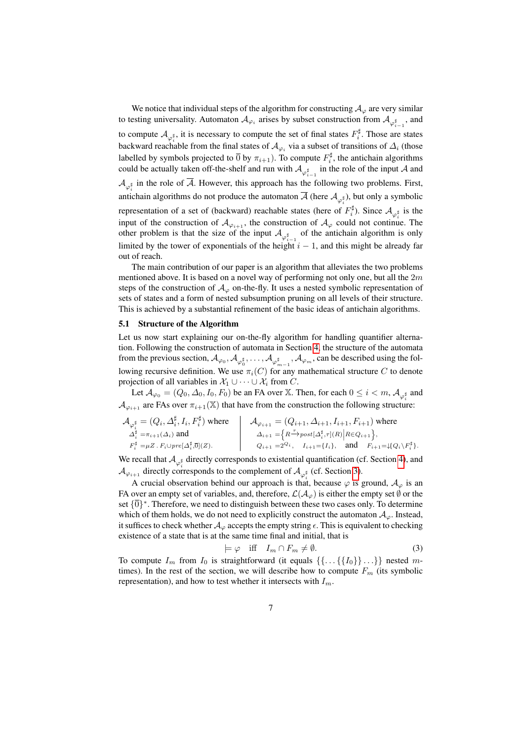We notice that individual steps of the algorithm for constructing  $A_{\varphi}$  are very similar to testing universality. Automaton  $\mathcal{A}_{\varphi_i}$  arises by subset construction from  $\mathcal{A}_{\varphi_{i-1}^\sharp}$ , and to compute  $\mathcal{A}_{\varphi_i^{\sharp}}$ , it is necessary to compute the set of final states  $F_i^{\sharp}$ . Those are states backward reachable from the final states of  $A_{\varphi_i}$  via a subset of transitions of  $\Delta_i$  (those labelled by symbols projected to  $\overline{0}$  by  $\pi_{i+1}$ ). To compute  $F_i^{\sharp}$ , the antichain algorithms could be actually taken off-the-shelf and run with  $\mathcal{A}_{\varphi_{i-1}^{\sharp}}$  in the role of the input A and  $\mathcal{A}_{\varphi_i^{\sharp}}$  in the role of A. However, this approach has the following two problems. First, antichain algorithms do not produce the automaton  $\mathcal{A}$  (here  $\mathcal{A}_{\varphi_i^{\sharp}}$ ), but only a symbolic representation of a set of (backward) reachable states (here of  $F_i^{\sharp}$ ). Since  $\mathcal{A}_{\varphi_i^{\sharp}}$  is the input of the construction of  $\mathcal{A}_{\varphi_{i+1}}$ , the construction of  $\mathcal{A}_{\varphi}$  could not continue. The other problem is that the size of the input  $\mathcal{A}_{\varphi_{i-1}^{\sharp}}$  of the antichain algorithm is only limited by the tower of exponentials of the height  $i - 1$ , and this might be already far out of reach.

The main contribution of our paper is an algorithm that alleviates the two problems mentioned above. It is based on a novel way of performing not only one, but all the  $2m$ steps of the construction of  $A_{\varphi}$  on-the-fly. It uses a nested symbolic representation of sets of states and a form of nested subsumption pruning on all levels of their structure. This is achieved by a substantial refinement of the basic ideas of antichain algorithms.

#### 5.1 Structure of the Algorithm

Let us now start explaining our on-the-fly algorithm for handling quantifier alternation. Following the construction of automata in Section [4,](#page-3-0) the structure of the automata from the previous section,  $\mathcal{A}_{\varphi_0}, \mathcal{A}_{\varphi_0^{\sharp}}, \dots, \mathcal{A}_{\varphi_{m-1}^{\sharp}}, \mathcal{A}_{\varphi_m}$ , can be described using the following recursive definition. We use  $\pi_i(C)$  for any mathematical structure C to denote projection of all variables in  $\mathcal{X}_1 \cup \cdots \cup \mathcal{X}_i$  from C.

Let  $\mathcal{A}_{\varphi_0} = (Q_0, \Delta_0, I_0, F_0)$  be an FA over X. Then, for each  $0 \leq i < m$ ,  $\mathcal{A}_{\varphi_i^{\sharp}}$  and  $\mathcal{A}_{\varphi_{i+1}}$  are FAs over  $\pi_{i+1}(\mathbb{X})$  that have from the construction the following structure:

$$
\begin{array}{ll}\mathcal{A}_{\varphi_i^\sharp} = (Q_i, \varDelta_i^\sharp, I_i, F_i^\sharp) \text{ where}\\ \varDelta_i^\sharp = \pi_{i+1}(\varDelta_i) \text{ and }\\ F_i^\sharp = \mu Z \cdot F_i \cup pre[\varDelta_i^\sharp, \overline{0}](Z).\end{array} \qquad \left\{ \begin{array}{ll} \mathcal{A}_{\varphi_{i+1}} = (Q_{i+1}, \varDelta_{i+1}, I_{i+1}, F_{i+1}) \text{ where } \\ \varDelta_{i+1} = \left\{R \xrightarrow{\tau} post[\varDelta_i^\sharp, \tau](R) \Big| R \in Q_{i+1} \right\}, \\ Q_{i+1} = 2^{Q_i}, \quad I_{i+1} = \{I_i\}, \quad \text{and} \quad F_{i+1} = \downarrow Q_i \setminus F_i^\sharp\}.\end{array} \right.
$$

We recall that  $\mathcal{A}_{\varphi_i^{\sharp}}$  directly corresponds to existential quantification (cf. Section [4\)](#page-3-0), and  $\mathcal{A}_{\varphi_{i+1}}$  directly corresponds to the complement of  $\mathcal{A}_{\varphi_i^{\sharp}}$  (cf. Section [3\)](#page-2-1).

A crucial observation behind our approach is that, because  $\varphi$  is ground,  $\mathcal{A}_{\varphi}$  is an FA over an empty set of variables, and, therefore,  $\mathcal{L}(\mathcal{A}_{\varphi})$  is either the empty set  $\emptyset$  or the set  $\{\overline{0}\}^*$ . Therefore, we need to distinguish between these two cases only. To determine which of them holds, we do not need to explicitly construct the automaton  $A_{\varphi}$ . Instead, it suffices to check whether  $\mathcal{A}_{\varphi}$  accepts the empty string  $\epsilon$ . This is equivalent to checking existence of a state that is at the same time final and initial, that is

$$
\models \varphi \quad \text{iff} \quad I_m \cap F_m \neq \emptyset. \tag{3}
$$

To compute  $I_m$  from  $I_0$  is straightforward (it equals  $\{\{\ldots\{\{I_0\}\}\ldots\}\}\)$  nested mtimes). In the rest of the section, we will describe how to compute  $F_m$  (its symbolic representation), and how to test whether it intersects with  $I_m$ .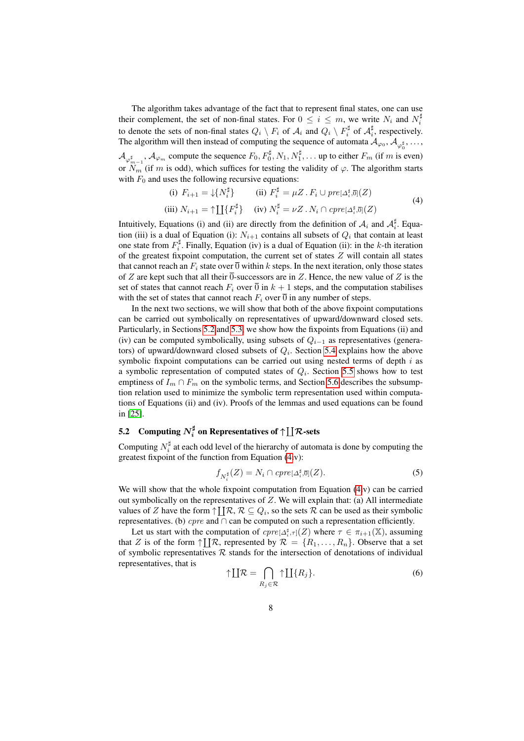The algorithm takes advantage of the fact that to represent final states, one can use their complement, the set of non-final states. For  $0 \le i \le m$ , we write  $N_i$  and  $N_i^{\sharp}$ to denote the sets of non-final states  $Q_i \setminus F_i$  of  $\mathcal{A}_i$  and  $Q_i \setminus F_i^{\sharp}$  of  $\mathcal{A}_i^{\sharp}$ , respectively. The algorithm will then instead of computing the sequence of automata  $A_{\varphi_0}, A_{\varphi_0^{\sharp}}, \ldots$  $\mathcal{A}_{\varphi_{m-1}^\sharp}, \mathcal{A}_{\varphi_m}$  compute the sequence  $F_0, F_0^\sharp, N_1, N_1^\sharp, \dots$  up to either  $F_m$  (if  $m$  is even) or  $N_m$  (if m is odd), which suffices for testing the validity of  $\varphi$ . The algorithm starts with  $F_0$  and uses the following recursive equations:

<span id="page-7-1"></span>(i) 
$$
F_{i+1} = \downarrow \{ N_i^{\sharp} \}
$$
 (ii)  $F_i^{\sharp} = \mu Z . F_i \cup pre[\Delta_i^{\sharp}, \overline{0}](Z)$   
(iii)  $N_{i+1} = \uparrow \coprod \{ F_i^{\sharp} \}$  (iv)  $N_i^{\sharp} = \nu Z . N_i \cap cpre[\Delta_i^{\sharp}, \overline{0}](Z)$  (4)

Intuitively, Equations (i) and (ii) are directly from the definition of  $A_i$  and  $A_i^{\sharp}$ . Equation (iii) is a dual of Equation (i):  $N_{i+1}$  contains all subsets of  $Q_i$  that contain at least one state from  $F_i^{\sharp}$ . Finally, Equation (iv) is a dual of Equation (ii): in the k-th iteration of the greatest fixpoint computation, the current set of states  $Z$  will contain all states that cannot reach an  $F_i$  state over  $\overline{0}$  within k steps. In the next iteration, only those states of Z are kept such that all their  $\overline{0}$ -successors are in Z. Hence, the new value of Z is the set of states that cannot reach  $F_i$  over  $\overline{0}$  in  $k + 1$  steps, and the computation stabilises with the set of states that cannot reach  $F_i$  over  $\overline{0}$  in any number of steps.

In the next two sections, we will show that both of the above fixpoint computations can be carried out symbolically on representatives of upward/downward closed sets. Particularly, in Sections [5.2](#page-7-0) and [5.3,](#page-9-0) we show how the fixpoints from Equations (ii) and (iv) can be computed symbolically, using subsets of  $Q_{i-1}$  as representatives (generators) of upward/downward closed subsets of  $Q_i$ . Section [5.4](#page-10-0) explains how the above symbolic fixpoint computations can be carried out using nested terms of depth  $i$  as a symbolic representation of computed states of  $Q_i$ . Section [5.5](#page-11-0) shows how to test emptiness of  $I_m \cap F_m$  on the symbolic terms, and Section [5.6](#page-11-1) describes the subsumption relation used to minimize the symbolic term representation used within computations of Equations (ii) and (iv). Proofs of the lemmas and used equations can be found in [\[25\]](#page-14-22).

## <span id="page-7-0"></span>5.2 Computing  $N_i^\sharp$  on Representatives of  $\uparrow \coprod \mathcal{R}$ -sets

Computing  $N_i^{\sharp}$  at each odd level of the hierarchy of automata is done by computing the greatest fixpoint of the function from Equation [\(4i](#page-7-1)v):

$$
f_{N_i^{\sharp}}(Z) = N_i \cap \operatorname{cpre}[\Delta_i^{\sharp}, \overline{0}](Z). \tag{5}
$$

We will show that the whole fixpoint computation from Equation [\(4i](#page-7-1)v) can be carried out symbolically on the representatives of  $Z$ . We will explain that: (a) All intermediate values of Z have the form  $\uparrow \coprod \mathcal{R}, \mathcal{R} \subseteq Q_i$ , so the sets  $\mathcal{R}$  can be used as their symbolic representatives. (b) *cpre* and  $\cap$  can be computed on such a representation efficiently.

Let us start with the computation of  $cpre[\Delta_i^{\sharp},\tau](Z)$  where  $\tau \in \pi_{i+1}(\mathbb{X})$ , assuming that Z is of the form  $\uparrow \coprod \mathcal{R}$ , represented by  $\mathcal{R} = \{R_1, \ldots, R_n\}$ . Observe that a set of symbolic representatives  $R$  stands for the intersection of denotations of individual representatives, that is

<span id="page-7-2"></span>
$$
\uparrow \coprod \mathcal{R} = \bigcap_{R_j \in \mathcal{R}} \uparrow \coprod \{R_j\}.
$$
 (6)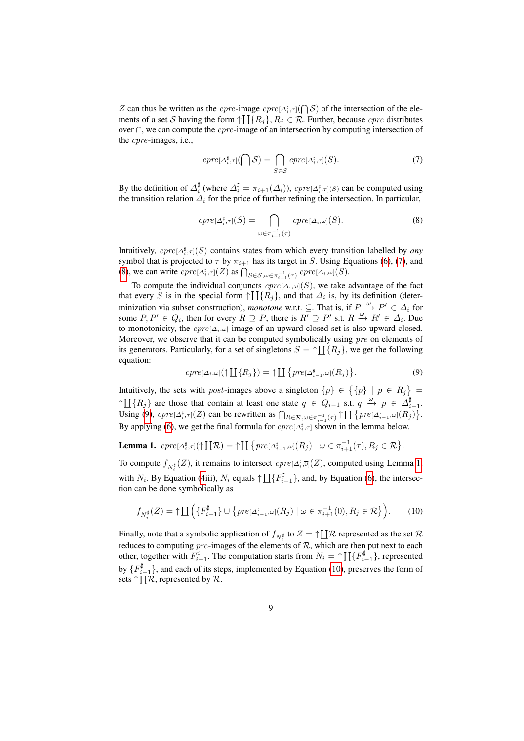Z can thus be written as the *cpre*-image  $cpre[\Delta_i^{\sharp}, \tau](\bigcap \mathcal{S})$  of the intersection of the elements of a set S having the form  $\uparrow \coprod \{R_j\}, R_j \in \mathcal{R}$ . Further, because *cpre* distributes over ∩, we can compute the *cpre*-image of an intersection by computing intersection of the cpre-images, i.e.,

<span id="page-8-1"></span><span id="page-8-0"></span>
$$
cpre[\Delta_i^{\sharp}, \tau](\bigcap \mathcal{S}) = \bigcap_{S \in \mathcal{S}} cpre[\Delta_i^{\sharp}, \tau](S). \tag{7}
$$

By the definition of  $\Delta_i^{\sharp}$  (where  $\Delta_i^{\sharp} = \pi_{i+1}(\Delta_i)$ ),  $cpre[\Delta_i^{\sharp}, \tau](S)$  can be computed using the transition relation  $\Delta_i$  for the price of further refining the intersection. In particular,

$$
cpre[\Delta_i^{\sharp}, \tau](S) = \bigcap_{\omega \in \pi_{i+1}^{-1}(\tau)} cpre[\Delta_i, \omega](S).
$$
 (8)

Intuitively,  $cpre[\Delta_i^{\sharp}, \tau](S)$  contains states from which every transition labelled by *any* symbol that is projected to  $\tau$  by  $\pi_{i+1}$  has its target in S. Using Equations [\(6\)](#page-7-2), [\(7\)](#page-8-0), and [\(8\)](#page-8-1), we can write  $cpre[\Delta_i^{\sharp}, \tau](Z)$  as  $\bigcap_{S \in \mathcal{S}, \omega \in \pi_{i+1}^{-1}(\tau)} cpre[\Delta_i, \omega](S)$ .

To compute the individual conjuncts  $cpre[\Delta_i,\omega](S)$ , we take advantage of the fact that every S is in the special form  $\uparrow \coprod \{R_j\}$ , and that  $\Delta_i$  is, by its definition (determinization via subset construction), *monotone* w.r.t. ⊆. That is, if  $P \stackrel{\omega}{\rightarrow} P' \in \Delta_i$  for some  $P, P' \in Q_i$ , then for every  $R \supseteq P$ , there is  $R' \supseteq P'$  s.t.  $R \stackrel{\omega}{\to} R' \in \Delta_i$ . Due to monotonicity, the  $cpre[\Delta_i,\omega]$ -image of an upward closed set is also upward closed. Moreover, we observe that it can be computed symbolically using  $pre$  on elements of its generators. Particularly, for a set of singletons  $S = \uparrow \coprod \{R_j\}$ , we get the following equation:

<span id="page-8-3"></span><span id="page-8-2"></span>
$$
cpre[\Delta_i,\omega](\uparrow \coprod \{R_j\}) = \uparrow \coprod \{pre[\Delta_{i-1}^{\sharp},\omega](R_j)\}.
$$
\n(9)

Intuitively, the sets with *post*-images above a singleton  $\{p\} \in \{ \{p\} \mid p \in R_j \}$  $\uparrow \coprod \{R_j\}$  are those that contain at least one state  $q \in Q_{i-1}$  s.t.  $q \stackrel{\omega}{\rightarrow} p \in \Delta_{i-1}^{\sharp}$ . Using [\(9\)](#page-8-2),  $cpre[\Delta_i^{\sharp}, \tau](Z)$  can be rewritten as  $\bigcap_{R \in \mathcal{R}, \omega \in \pi_{i+1}^{-1}(\tau)} \uparrow \coprod \{pre[\Delta_{i-1}^{\sharp}, \omega](R_j)\}.$ By applying [\(6\)](#page-7-2), we get the final formula for  $cpre[\Delta_i^{\sharp}, \tau]$  shown in the lemma below.

**Lemma 1.** 
$$
cpre[\Delta_i^{\sharp}, \tau](\uparrow \coprod \mathcal{R}) = \uparrow \coprod \{ pre[\Delta_{i-1}^{\sharp}, \omega](R_j) \mid \omega \in \pi_{i+1}^{-1}(\tau), R_j \in \mathcal{R} \}.
$$

To compute  $f_{N_i^{\sharp}}(Z)$ , it remains to intersect  $cpre[\Delta_i^{\sharp},\overline{0}](Z)$ , computed using Lemma [1,](#page-8-3) with  $N_i$ . By Equation [\(4i](#page-7-1)ii),  $N_i$  equals  $\uparrow \coprod \{F_{i-1}^{\sharp}\}\$ , and, by Equation [\(6\)](#page-7-2), the intersection can be done symbolically as

<span id="page-8-4"></span>
$$
f_{N_i^{\sharp}}(Z) = \uparrow \coprod \left( \{ F_{i-1}^{\sharp} \} \cup \left\{ \text{pre}[\Delta_{i-1}^{\sharp}, \omega] \left( R_j \right) \mid \omega \in \pi_{i+1}^{-1}(\overline{0}), R_j \in \mathcal{R} \right\} \right). \tag{10}
$$

Finally, note that a symbolic application of  $f_{N_i^{\sharp}}$  to  $Z = \uparrow \coprod \mathcal{R}$  represented as the set  $\mathcal{R}$ reduces to computing pre-images of the elements of  $\mathcal R$ , which are then put next to each other, together with  $F_{i-1}^{\sharp}$ . The computation starts from  $N_i = \uparrow \coprod \{F_{i-1}^{\sharp}\}\$ , represented by  $\{F_{i-1}^{\sharp}\}\$ , and each of its steps, implemented by Equation [\(10\)](#page-8-4), preserves the form of sets  $\uparrow$   $\coprod$   $\mathcal R$ , represented by  $\mathcal R$ .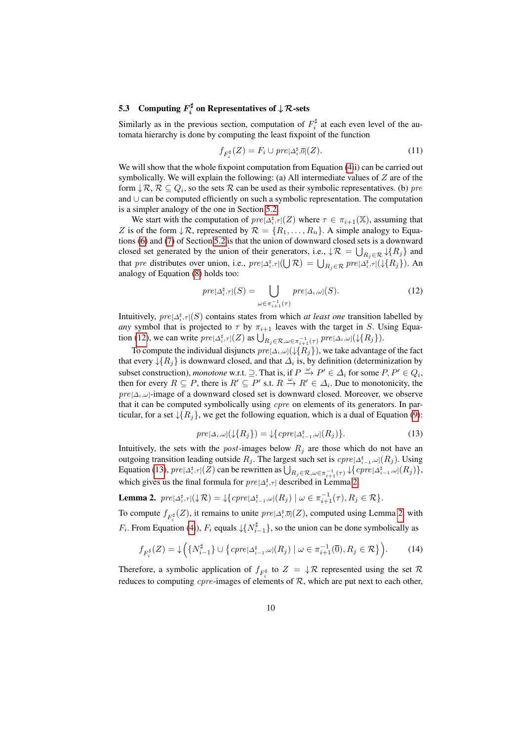## <span id="page-9-0"></span>5.3 Computing  $F_i^{\sharp}$  on Representatives of  $\downarrow \mathcal{R}$ -sets

Similarly as in the previous section, computation of  $F_i^{\sharp}$  at each even level of the automata hierarchy is done by computing the least fixpoint of the function

$$
f_{F_i^{\sharp}}(Z) = F_i \cup pre[\Delta_i^{\sharp}, \overline{0}](Z). \tag{11}
$$

We will show that the whole fixpoint computation from Equation [\(4i](#page-7-1)i) can be carried out symbolically. We will explain the following: (a) All intermediate values of  $Z$  are of the form  $\downarrow \mathcal{R}, \mathcal{R} \subseteq Q_i$ , so the sets  $\mathcal{R}$  can be used as their symbolic representatives. (b) pre and ∪ can be computed efficiently on such a symbolic representation. The computation is a simpler analogy of the one in Section [5.2.](#page-7-0)

We start with the computation of  $pre[\Delta_i^{\sharp}, \tau](Z)$  where  $\tau \in \pi_{i+1}(\mathbb{X})$ , assuming that Z is of the form  $\downarrow \mathcal{R}$ , represented by  $\mathcal{R} = \{R_1, \ldots, R_n\}$ . A simple analogy to Equations [\(6\)](#page-7-2) and [\(7\)](#page-8-0) of Section [5.2](#page-7-0) is that the union of downward closed sets is a downward closed set generated by the union of their generators, i.e.,  $\downarrow \mathcal{R} = \bigcup_{R_j \in \mathcal{R}} \downarrow \{R_j\}$  and that pre distributes over union, i.e.,  $pre[\Delta_i^{\sharp}, \tau](\bigcup \mathcal{R}) = \bigcup_{R_j \in \mathcal{R}} pre[\Delta_i^{\sharp}, \tau](\downarrow \{R_j\})$ . An analogy of Equation [\(8\)](#page-8-1) holds too:

<span id="page-9-1"></span>
$$
pre[\Delta_i^{\sharp}, \tau](S) = \bigcup_{\omega \in \pi_{i+1}^{-1}(\tau)} pre[\Delta_i, \omega](S).
$$
 (12)

Intuitively,  $pre[\Delta_i^{\sharp}, \tau](S)$  contains states from which *at least one* transition labelled by *any* symbol that is projected to  $\tau$  by  $\pi_{i+1}$  leaves with the target in S. Using Equa-tion [\(12\)](#page-9-1), we can write  $pre[\Delta_i^{\sharp}, \tau](Z)$  as  $\bigcup_{R_j \in \mathcal{R}, \omega \in \pi_{i+1}^{-1}(\tau)} pre[\Delta_i, \omega](\downarrow \{R_j\}).$ 

To compute the individual disjuncts  $pre[\Delta_i, \omega](\downarrow \{R_i\})$ , we take advantage of the fact that every  $\downarrow$ { $R_j$ } is downward closed, and that  $\Delta_i$  is, by definition (determinization by subset construction), *monotone* w.r.t.  $\supseteq$ . That is, if  $P \stackrel{\omega}{\to} P' \in \Delta_i$  for some  $P, P' \in Q_i$ , then for every  $R \subseteq P$ , there is  $R' \subseteq P'$  s.t.  $R \stackrel{\omega}{\to} R' \in \Delta_i$ . Due to monotonicity, the  $pre[\Delta_i,\omega]$ -image of a downward closed set is downward closed. Moreover, we observe that it can be computed symbolically using *cpre* on elements of its generators. In particular, for a set  $\{\{R_i\}$ , we get the following equation, which is a dual of Equation [\(9\)](#page-8-2):

<span id="page-9-4"></span><span id="page-9-3"></span>
$$
pre[\Delta_i, \omega] (\downarrow \{R_j\}) = \downarrow \{ \text{cpre}[\Delta_{i-1}^{\sharp}, \omega] (R_j) \}. \tag{13}
$$

<span id="page-9-2"></span>Intuitively, the sets with the *post*-images below  $R_i$  are those which do not have an outgoing transition leading outside  $R_j$ . The largest such set is  $cpre[\Delta_{i-1}^{\sharp}, \omega](R_j)$ . Using Equation [\(13\)](#page-9-2),  $pre[\Delta_i^{\sharp}, \tau](Z)$  can be rewritten as  $\bigcup_{R_j \in \mathcal{R}, \omega \in \pi_{i+1}^{-1}(\tau)} \bigcup \{cpre[\Delta_{i-1}^{\sharp}, \omega](R_j)\},$ which gives us the final formula for  $pre[\Delta_i^{\sharp}, \tau]$  described in Lemma [2.](#page-9-3)

**Lemma 2.**  $pre[\Delta_i^{\sharp}, \tau](\downarrow \mathcal{R}) = \downarrow \{ \text{cpre}[\Delta_{i-1}^{\sharp}, \omega](R_j) \mid \omega \in \pi_{i+1}^{-1}(\tau), R_j \in \mathcal{R} \}.$ 

To compute  $f_{F_i^{\sharp}}(Z)$ , it remains to unite  $pre[\Delta_i^{\sharp}, \overline{0}](Z)$ , computed using Lemma [2,](#page-9-3) with  $F_i$ . From Equation [\(4i](#page-7-1)),  $F_i$  equals  $\downarrow$  { $N_{i-1}^{\sharp}$ }, so the union can be done symbolically as

$$
f_{F_i^{\sharp}}(Z) = \downarrow \left( \{ N_{i-1}^{\sharp} \} \cup \{ \text{cpre}[\Delta_{i-1}^{\sharp}, \omega] \left( R_j \right) \mid \omega \in \pi_{i+1}^{-1}(\overline{0}), R_j \in \mathcal{R} \} \right). \tag{14}
$$

Therefore, a symbolic application of  $f_{F_i^{\sharp}}$  to  $Z = \downarrow \mathcal{R}$  represented using the set  $\mathcal{R}$ reduces to computing  $cpre$ -images of elements of  $R$ , which are put next to each other,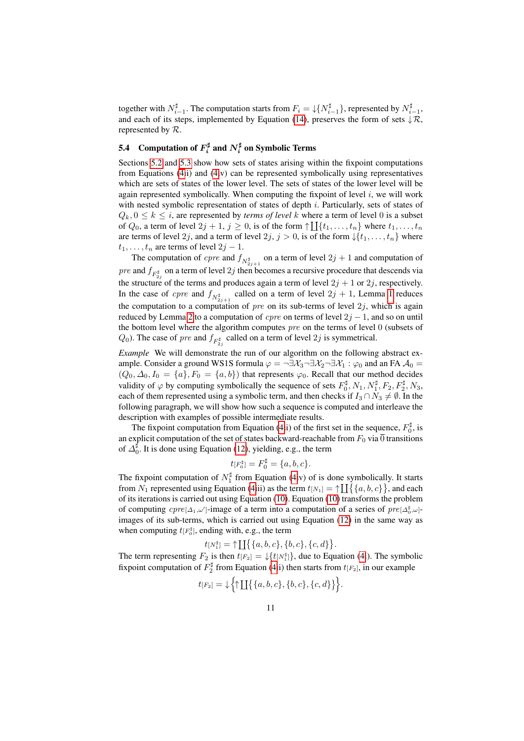together with  $N_{i-1}^{\sharp}$ . The computation starts from  $F_i = \cup \{N_{i-1}^{\sharp}\}$ , represented by  $N_{i-1}^{\sharp}$ , and each of its steps, implemented by Equation [\(14\)](#page-9-4), preserves the form of sets  $\downarrow \mathcal{R}$ , represented by  $R$ .

## <span id="page-10-0"></span>5.4 Computation of  $F_i^\sharp$  and  $N_i^\sharp$  on Symbolic Terms

Sections [5.2](#page-7-0) and [5.3](#page-9-0) show how sets of states arising within the fixpoint computations from Equations [\(4i](#page-7-1)i) and [\(4i](#page-7-1)v) can be represented symbolically using representatives which are sets of states of the lower level. The sets of states of the lower level will be again represented symbolically. When computing the fixpoint of level  $i$ , we will work with nested symbolic representation of states of depth  $i$ . Particularly, sets of states of  $Q_k, 0 \leq k \leq i$ , are represented by *terms of level* k where a term of level 0 is a subset of  $Q_0$ , a term of level  $2j + 1$ ,  $j \ge 0$ , is of the form  $\uparrow \coprod \{t_1, \ldots, t_n\}$  where  $t_1, \ldots, t_n$ are terms of level 2j, and a term of level 2j,  $j > 0$ , is of the form  $\{t_1, \ldots, t_n\}$  where  $t_1, \ldots, t_n$  are terms of level  $2j - 1$ .

The computation of *cpre* and  $f_{N^{\sharp}_{2j+1}}$  on a term of level  $2j + 1$  and computation of *pre* and  $f_{F_{2j}^{\sharp}}$  on a term of level  $2j$  then becomes a recursive procedure that descends via the structure of the terms and produces again a term of level  $2j + 1$  or  $2j$ , respectively. In the case of *cpre* and  $f_{N^{\sharp}_{2j+1}}$  called on a term of level  $2j + 1$  $2j + 1$ , Lemma 1 reduces the computation to a computation of *pre* on its sub-terms of level  $2j$ , which is again reduced by Lemma [2](#page-9-3) to a computation of *cpre* on terms of level  $2j - 1$ , and so on until the bottom level where the algorithm computes  $pre$  on the terms of level  $0$  (subsets of  $(Q_0)$ . The case of *pre* and  $f_{F_{2j}^{\sharp}}$  called on a term of level  $2j$  is symmetrical.

*Example* We will demonstrate the run of our algorithm on the following abstract example. Consider a ground WS1S formula  $\varphi = \exists \mathcal{X}_3 \exists \mathcal{X}_2 \exists \mathcal{X}_1 : \varphi_0$  and an FA  $\mathcal{A}_0 =$  $(Q_0, \Delta_0, I_0 = \{a\}, F_0 = \{a, b\})$  that represents  $\varphi_0$ . Recall that our method decides validity of  $\varphi$  by computing symbolically the sequence of sets  $F_0^{\sharp}, N_1, N_1^{\sharp}, F_2, F_2^{\sharp}, N_3$ , each of them represented using a symbolic term, and then checks if  $I_3 \cap N_3 \neq \emptyset$ . In the following paragraph, we will show how such a sequence is computed and interleave the description with examples of possible intermediate results.

The fixpoint computation from Equation [\(4i](#page-7-1)i) of the first set in the sequence,  $F_0^{\sharp}$ , is an explicit computation of the set of states backward-reachable from  $F_0$  via  $\overline{0}$  transitions of  $\Delta_0^{\sharp}$ . It is done using Equation [\(12\)](#page-9-1), yielding, e.g., the term

$$
t[F_0^{\sharp}] = F_0^{\sharp} = \{a, b, c\}.
$$

The fixpoint computation of  $N_1^{\sharp}$  from Equation [\(4i](#page-7-1)v) of is done symbolically. It starts from  $N_1$  represented using Equation [\(4i](#page-7-1)ii) as the term  $t_{[N_1]} = \uparrow \coprod \{ \{a, b, c\} \}$ , and each of its iterations is carried out using Equation [\(10\)](#page-8-4). Equation [\(10\)](#page-8-4) transforms the problem of computing  $cpre[\Delta_1,\omega']$ -image of a term into a computation of a series of  $pre[\Delta_0^{\sharp},\omega]$ images of its sub-terms, which is carried out using Equation [\(12\)](#page-9-1) in the same way as when computing  $t[F_0^{\sharp}]$ , ending with, e.g., the term

$$
t[N_1^{\sharp}] = \uparrow \coprod \big\{ \{a, b, c\}, \{b, c\}, \{c, d\} \big\}.
$$

The term representing  $F_2$  is then  $t_{[F_2]} = \{t_{[N_1^{\sharp}]} \}$ , due to Equation [\(4i](#page-7-1)). The symbolic fixpoint computation of  $F_2^{\sharp}$  from Equation [\(4i](#page-7-1)i) then starts from  $t_{[F_2]}$ , in our example

$$
t[F_2] = \downarrow \left\{ \uparrow \coprod \big\{ \{a, b, c\}, \{b, c\}, \{c, d\} \big\} \right\}
$$

.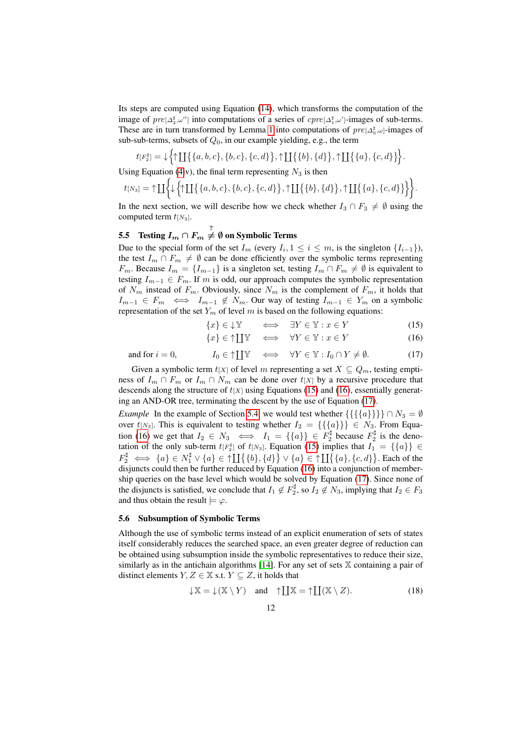Its steps are computed using Equation [\(14\)](#page-9-4), which transforms the computation of the image of  $pre[\Delta_2^{\sharp}, \omega']$  into computations of a series of  $cpre[\Delta_1^{\sharp}, \omega']$ -images of sub-terms. These are in turn transformed by Lemma [1](#page-8-3) into computations of  $pre[\Delta_0^{\sharp}, \omega]$ -images of sub-sub-terms, subsets of  $Q_0$ , in our example yielding, e.g., the term

$$
t[F_2^{\sharp}] = \downarrow \Big\{\uparrow \coprod \big\{\{a, b, c\}, \{b, c\}, \{c, d\}\big\}, \uparrow \coprod \big\{\{b\}, \{d\}\big\}, \uparrow \coprod \big\{\{a\}, \{c, d\}\big\}\Big\}.
$$

Using Equation [\(4i](#page-7-1)v), the final term representing  $N_3$  is then

$$
t_{[N_3]} = \uparrow \coprod \Biggl\{ \downarrow \Biggl\{ \uparrow \coprod \biggl\{ \{a,b,c\}, \{b,c\}, \{c,d\} \biggr\}, \uparrow \coprod \biggl\{ \{b\}, \{d\} \biggr\}, \uparrow \coprod \biggl\{ \{a\}, \{c,d\} \biggr\} \Biggr\}.
$$

In the next section, we will describe how we check whether  $I_3 \cap F_3 \neq \emptyset$  using the computed term  $t[N_3]$ .

# <span id="page-11-0"></span>5.5 Testing  $I_m \cap F_m \stackrel{?}{\neq} \emptyset$  on Symbolic Terms

Due to the special form of the set  $I_m$  (every  $I_i, 1 \leq i \leq m$ , is the singleton  $\{I_{i-1}\}\$ ), the test  $I_m \cap F_m \neq \emptyset$  can be done efficiently over the symbolic terms representing  $F_m$ . Because  $I_m = \{I_{m-1}\}\$ is a singleton set, testing  $I_m \cap F_m \neq \emptyset$  is equivalent to testing  $I_{m-1} \in F_m$ . If m is odd, our approach computes the symbolic representation of  $N_m$  instead of  $F_m$ . Obviously, since  $N_m$  is the complement of  $F_m$ , it holds that  $I_{m-1} \in F_m \iff I_{m-1} \notin N_m$ . Our way of testing  $I_{m-1} \in Y_m$  on a symbolic representation of the set  $Y_m$  of level m is based on the following equations:

<span id="page-11-2"></span>
$$
\{x\} \in \downarrow \mathbb{Y} \qquad \iff \quad \exists Y \in \mathbb{Y} : x \in Y \tag{15}
$$

<span id="page-11-4"></span><span id="page-11-3"></span>
$$
\{x\} \in \uparrow \coprod \mathbb{Y} \quad \iff \quad \forall Y \in \mathbb{Y} : x \in Y \tag{16}
$$

and for  $i = 0$ ,  $I_0 \in \uparrow$   $\coprod Y \iff \forall Y \in \mathbb{Y} : I_0 \cap Y \neq \emptyset.$  (17)

Given a symbolic term  $t[X]$  of level m representing a set  $X \subseteq Q_m$ , testing emptiness of  $I_m \cap F_m$  or  $I_m \cap N_m$  can be done over  $t[X]$  by a recursive procedure that descends along the structure of  $t[X]$  using Equations [\(15\)](#page-11-2) and [\(16\)](#page-11-3), essentially generating an AND-OR tree, terminating the descent by the use of Equation [\(17\)](#page-11-4).

*Example* In the example of Section [5.4,](#page-10-0) we would test whether  $\{\{\{\{a\}\}\}\}\cap N_3 = \emptyset$ over  $t[N_3]$ . This is equivalent to testing whether  $I_2 = \{\{\{a\}\}\}\in N_3$ . From Equa-tion [\(16\)](#page-11-3) we get that  $I_2 \in N_3 \iff I_1 = \{\{a\}\}\in F_2^{\sharp}$  because  $F_2^{\sharp}$  is the denotation of the only sub-term  $t[F_2^{\sharp}]$  of  $t[N_3]$ . Equation [\(15\)](#page-11-2) implies that  $I_1 = \{\{a\}\}\in$  $F_2^{\sharp} \iff \{a\} \in N_1^{\sharp} \vee \{a\} \in \uparrow \coprod \big\{\{b\}, \{d\}\big\} \vee \{a\} \in \uparrow \coprod \big\{\{a\}, \{c, d\}\big\}$ . Each of the disjuncts could then be further reduced by Equation [\(16\)](#page-11-3) into a conjunction of membership queries on the base level which would be solved by Equation [\(17\)](#page-11-4). Since none of the disjuncts is satisfied, we conclude that  $I_1 \notin F_2^{\sharp}$ , so  $I_2 \notin N_3$ , implying that  $I_2 \in F_3$ and thus obtain the result  $\models \varphi$ .

#### <span id="page-11-1"></span>5.6 Subsumption of Symbolic Terms

Although the use of symbolic terms instead of an explicit enumeration of sets of states itself considerably reduces the searched space, an even greater degree of reduction can be obtained using subsumption inside the symbolic representatives to reduce their size, similarly as in the antichain algorithms [\[14\]](#page-14-13). For any set of sets  $X$  containing a pair of distinct elements  $Y, Z \in \mathbb{X}$  s.t.  $Y \subseteq Z$ , it holds that

<span id="page-11-5"></span>
$$
\downarrow X = \downarrow (X \setminus Y) \quad \text{and} \quad \uparrow \coprod X = \uparrow \coprod (X \setminus Z). \tag{18}
$$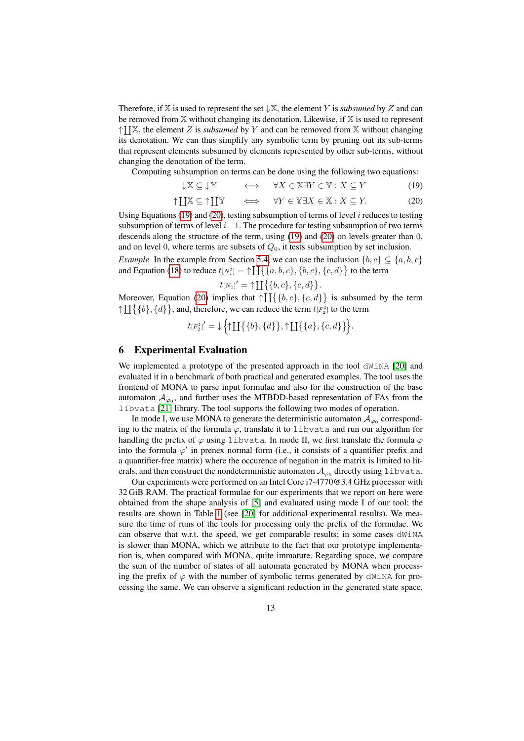Therefore, if X is used to represent the set  $\downarrow$  X, the element Y is *subsumed* by Z and can be removed from  $X$  without changing its denotation. Likewise, if  $X$  is used to represent ↑ ` X, the element Z is *subsumed* by Y and can be removed from X without changing its denotation. We can thus simplify any symbolic term by pruning out its sub-terms that represent elements subsumed by elements represented by other sub-terms, without changing the denotation of the term.

Computing subsumption on terms can be done using the following two equations:

$$
\downarrow \mathbb{X} \subseteq \downarrow \mathbb{Y} \qquad \iff \quad \forall X \in \mathbb{X} \exists Y \in \mathbb{Y} : X \subseteq Y \tag{19}
$$

$$
\uparrow \coprod \mathbb{X} \subseteq \uparrow \coprod \mathbb{Y} \qquad \Longleftrightarrow \qquad \forall Y \in \mathbb{Y} \exists X \in \mathbb{X} : X \subseteq Y. \tag{20}
$$

Using Equations [\(19\)](#page-12-1) and [\(20\)](#page-12-2), testing subsumption of terms of level  $i$  reduces to testing subsumption of terms of level  $i-1$ . The procedure for testing subsumption of two terms descends along the structure of the term, using [\(19\)](#page-12-1) and [\(20\)](#page-12-2) on levels greater than 0, and on level 0, where terms are subsets of  $Q_0$ , it tests subsumption by set inclusion.

*Example* In the example from Section [5.4,](#page-10-0) we can use the inclusion  $\{b, c\} \subseteq \{a, b, c\}$ and Equation [\(18\)](#page-11-5) to reduce  $t[N_1^{\sharp}] = \uparrow \coprod \big\{ \{a, b, c\}, \{b, c\}, \{c, d\} \big\}$  to the term

<span id="page-12-2"></span><span id="page-12-1"></span>
$$
t[N_1]' = \uparrow \coprod \{ \{b, c\}, \{c, d\} \}.
$$

Moreover, Equation [\(20\)](#page-12-2) implies that  $\uparrow \coprod \{ \{b, c\}, \{c, d\} \}$  is subsumed by the term  $\uparrow \coprod \big\{ \{b\}, \{d\} \big\}$ , and, therefore, we can reduce the term  $t_F^{\sharp}$  to the term

$$
t[F_2^{\sharp}]' = \downarrow \Big\{\uparrow \coprod \big\{\{b\},\{d\}\big\}, \uparrow \coprod \big\{\{a\},\{c,d\}\big\}\Big\}.
$$

### <span id="page-12-0"></span>6 Experimental Evaluation

We implemented a prototype of the presented approach in the tool  $dW \in [20]$  $dW \in [20]$  and evaluated it in a benchmark of both practical and generated examples. The tool uses the frontend of MONA to parse input formulae and also for the construction of the base automaton  $A_{\varphi_0}$ , and further uses the MTBDD-based representation of FAs from the libvata [\[21\]](#page-14-24) library. The tool supports the following two modes of operation.

In mode I, we use MONA to generate the deterministic automaton  $A_{\varphi_0}$  corresponding to the matrix of the formula  $\varphi$ , translate it to libvata and run our algorithm for handling the prefix of  $\varphi$  using libvata. In mode II, we first translate the formula  $\varphi$ into the formula  $\varphi'$  in prenex normal form (i.e., it consists of a quantifier prefix and a quantifier-free matrix) where the occurence of negation in the matrix is limited to literals, and then construct the nondeterministic automaton  $\mathcal{A}_{\varphi_0}$  directly using libvata.

Our experiments were performed on an Intel Core i7-4770@3.4 GHz processor with 32 GiB RAM. The practical formulae for our experiments that we report on here were obtained from the shape analysis of [\[5\]](#page-14-4) and evaluated using mode I of our tool; the results are shown in Table [1](#page-13-1) (see [\[20\]](#page-14-23) for additional experimental results). We measure the time of runs of the tools for processing only the prefix of the formulae. We can observe that w.r.t. the speed, we get comparable results; in some cases dWiNA is slower than MONA, which we attribute to the fact that our prototype implementation is, when compared with MONA, quite immature. Regarding space, we compare the sum of the number of states of all automata generated by MONA when processing the prefix of  $\varphi$  with the number of symbolic terms generated by  $dW$ iNA for processing the same. We can observe a significant reduction in the generated state space.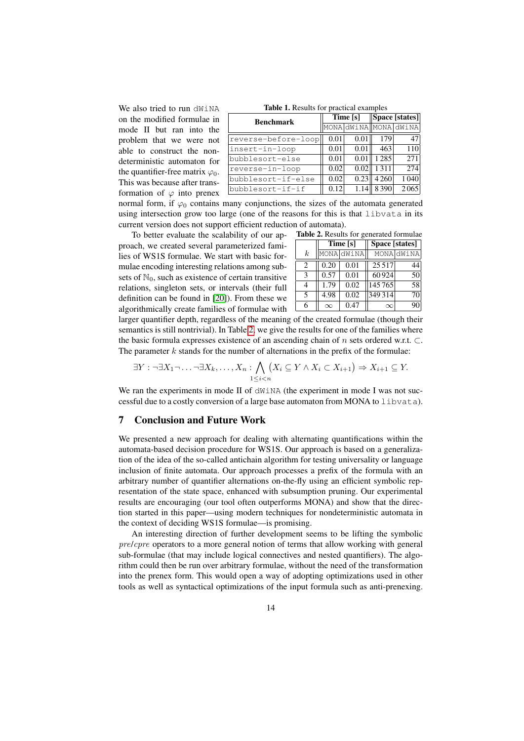We also tried to run dWiNA on the modified formulae in mode II but ran into the problem that we were not able to construct the nondeterministic automaton for the quantifier-free matrix  $\varphi_0$ . This was because after transformation of  $\varphi$  into prenex

<span id="page-13-1"></span>

| <b>Table 1.</b> Results for practical examples |  |  |
|------------------------------------------------|--|--|
|------------------------------------------------|--|--|

| <b>Benchmark</b>    | Time [s] |      | Space [states] |                       |
|---------------------|----------|------|----------------|-----------------------|
|                     |          |      |                | MONA dWiNA MONA dWiNA |
| reverse-before-loop | 0.01     | 0.01 | 179            | 47                    |
| insert-in-loop      | 0.01     | 0.01 | 463            | 110                   |
| bubblesort-else     | 0.01     | 0.01 | 1285           | 271                   |
| reverse-in-loop     | 0.02     | 0.02 | 1311           | 274                   |
| bubblesort-if-else  | 0.02     | 0.23 | 4 2 6 0        | 1040                  |
| bubblesort-if-if    | 0.12     | 1.14 | 8390           | 2065                  |

normal form, if  $\varphi_0$  contains many conjunctions, the sizes of the automata generated using intersection grow too large (one of the reasons for this is that libvata in its current version does not support efficient reduction of automata).

To better evaluate the scalability of our approach, we created several parameterized families of WS1S formulae. We start with basic formulae encoding interesting relations among subsets of  $\mathbb{N}_0$ , such as existence of certain transitive relations, singleton sets, or intervals (their full definition can be found in [\[20\]](#page-14-23)). From these we algorithmically create families of formulae with

<span id="page-13-2"></span>

| Table 2. Results for generated formulae |          |            |                |            |  |  |  |  |
|-----------------------------------------|----------|------------|----------------|------------|--|--|--|--|
|                                         | Time [s] |            | Space [states] |            |  |  |  |  |
| k                                       |          | MONA dWiNA |                | MONA dWiNA |  |  |  |  |
|                                         | 0.20     | 0.01       | 25 5 17        |            |  |  |  |  |
| 3                                       | 0.57     | 0.01       | 60924          | 50         |  |  |  |  |
| 4                                       | 1.79     | 0.02       | 145765         | 58         |  |  |  |  |
|                                         |          |            | 349314         |            |  |  |  |  |

 $\boxed{6}$   $\infty$   $\boxed{0.47}$   $\infty$   $\boxed{90}$ 

larger quantifier depth, regardless of the meaning of the created formulae (though their semantics is still nontrivial). In Table [2,](#page-13-2) we give the results for one of the families where the basic formula expresses existence of an ascending chain of n sets ordered w.r.t.  $\subset$ . The parameter  $k$  stands for the number of alternations in the prefix of the formulae:

$$
\exists Y : \neg \exists X_1 \neg \dots \neg \exists X_k, \dots, X_n : \bigwedge_{1 \leq i < n} (X_i \subseteq Y \land X_i \subset X_{i+1}) \Rightarrow X_{i+1} \subseteq Y.
$$

We ran the experiments in mode II of  $d$ WiNA (the experiment in mode I was not successful due to a costly conversion of a large base automaton from MONA to libvata).

## <span id="page-13-0"></span>7 Conclusion and Future Work

We presented a new approach for dealing with alternating quantifications within the automata-based decision procedure for WS1S. Our approach is based on a generalization of the idea of the so-called antichain algorithm for testing universality or language inclusion of finite automata. Our approach processes a prefix of the formula with an arbitrary number of quantifier alternations on-the-fly using an efficient symbolic representation of the state space, enhanced with subsumption pruning. Our experimental results are encouraging (our tool often outperforms MONA) and show that the direction started in this paper—using modern techniques for nondeterministic automata in the context of deciding WS1S formulae—is promising.

An interesting direction of further development seems to be lifting the symbolic pre/cpre operators to a more general notion of terms that allow working with general sub-formulae (that may include logical connectives and nested quantifiers). The algorithm could then be run over arbitrary formulae, without the need of the transformation into the prenex form. This would open a way of adopting optimizations used in other tools as well as syntactical optimizations of the input formula such as anti-prenexing.